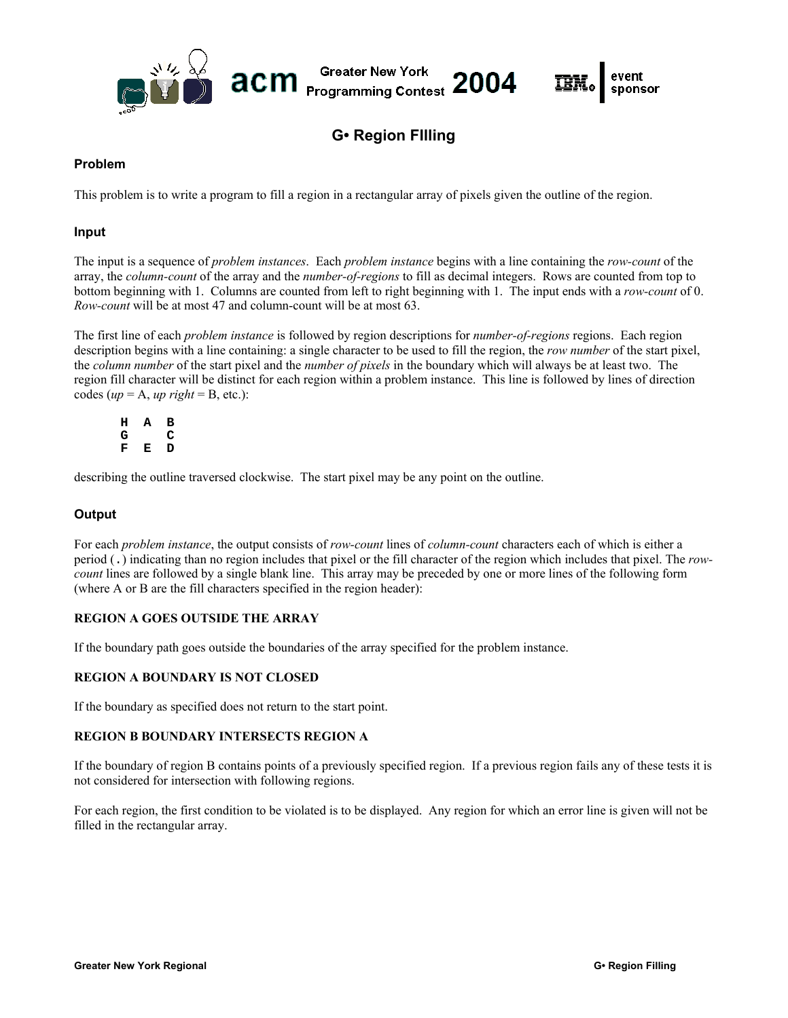

# **G• Region FIlling**

## **Problem**

This problem is to write a program to fill a region in a rectangular array of pixels given the outline of the region.

## **Input**

The input is a sequence of *problem instances*. Each *problem instance* begins with a line containing the *row-count* of the array, the *column-count* of the array and the *number-of-regions* to fill as decimal integers. Rows are counted from top to bottom beginning with 1. Columns are counted from left to right beginning with 1. The input ends with a *row-count* of 0. *Row-count* will be at most 47 and column-count will be at most 63.

The first line of each *problem instance* is followed by region descriptions for *number-of-regions* regions. Each region description begins with a line containing: a single character to be used to fill the region, the *row number* of the start pixel, the *column number* of the start pixel and the *number of pixels* in the boundary which will always be at least two. The region fill character will be distinct for each region within a problem instance. This line is followed by lines of direction codes ( $up = A$ ,  $up$  right = B, etc.):

**H A B G C F E D**

describing the outline traversed clockwise. The start pixel may be any point on the outline.

# **Output**

For each *problem instance*, the output consists of *row-count* lines of *column-count* characters each of which is either a period (.) indicating than no region includes that pixel or the fill character of the region which includes that pixel. The *rowcount* lines are followed by a single blank line. This array may be preceded by one or more lines of the following form (where A or B are the fill characters specified in the region header):

#### **REGION A GOES OUTSIDE THE ARRAY**

If the boundary path goes outside the boundaries of the array specified for the problem instance.

#### **REGION A BOUNDARY IS NOT CLOSED**

If the boundary as specified does not return to the start point.

#### **REGION B BOUNDARY INTERSECTS REGION A**

If the boundary of region B contains points of a previously specified region. If a previous region fails any of these tests it is not considered for intersection with following regions.

For each region, the first condition to be violated is to be displayed. Any region for which an error line is given will not be filled in the rectangular array.